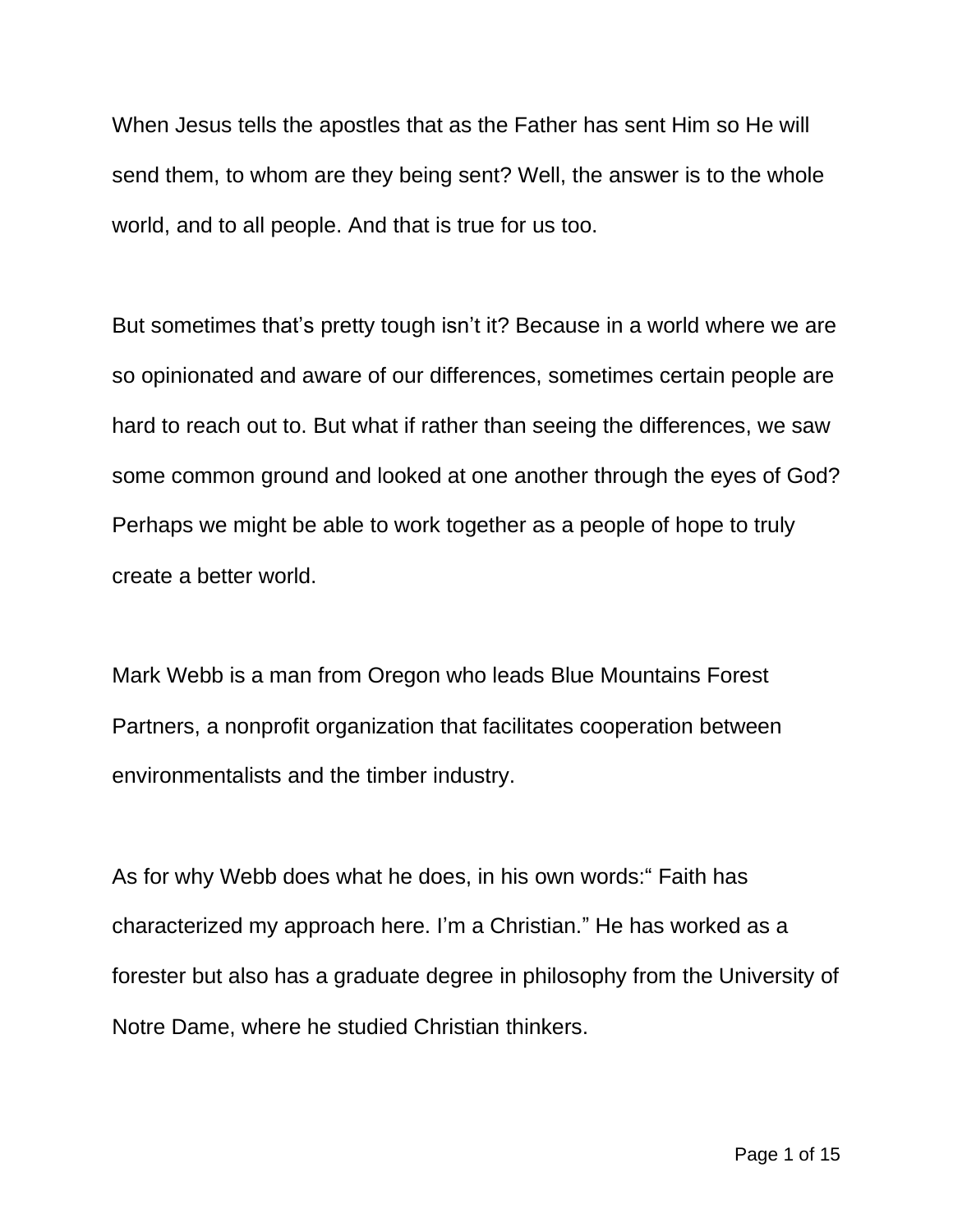When Jesus tells the apostles that as the Father has sent Him so He will send them, to whom are they being sent? Well, the answer is to the whole world, and to all people. And that is true for us too.

But sometimes that's pretty tough isn't it? Because in a world where we are so opinionated and aware of our differences, sometimes certain people are hard to reach out to. But what if rather than seeing the differences, we saw some common ground and looked at one another through the eyes of God? Perhaps we might be able to work together as a people of hope to truly create a better world.

Mark Webb is a man from Oregon who leads Blue Mountains Forest Partners, a nonprofit organization that facilitates cooperation between environmentalists and the timber industry.

As for why Webb does what he does, in his own words:" Faith has characterized my approach here. I'm a Christian." He has worked as a forester but also has a graduate degree in philosophy from the University of Notre Dame, where he studied Christian thinkers.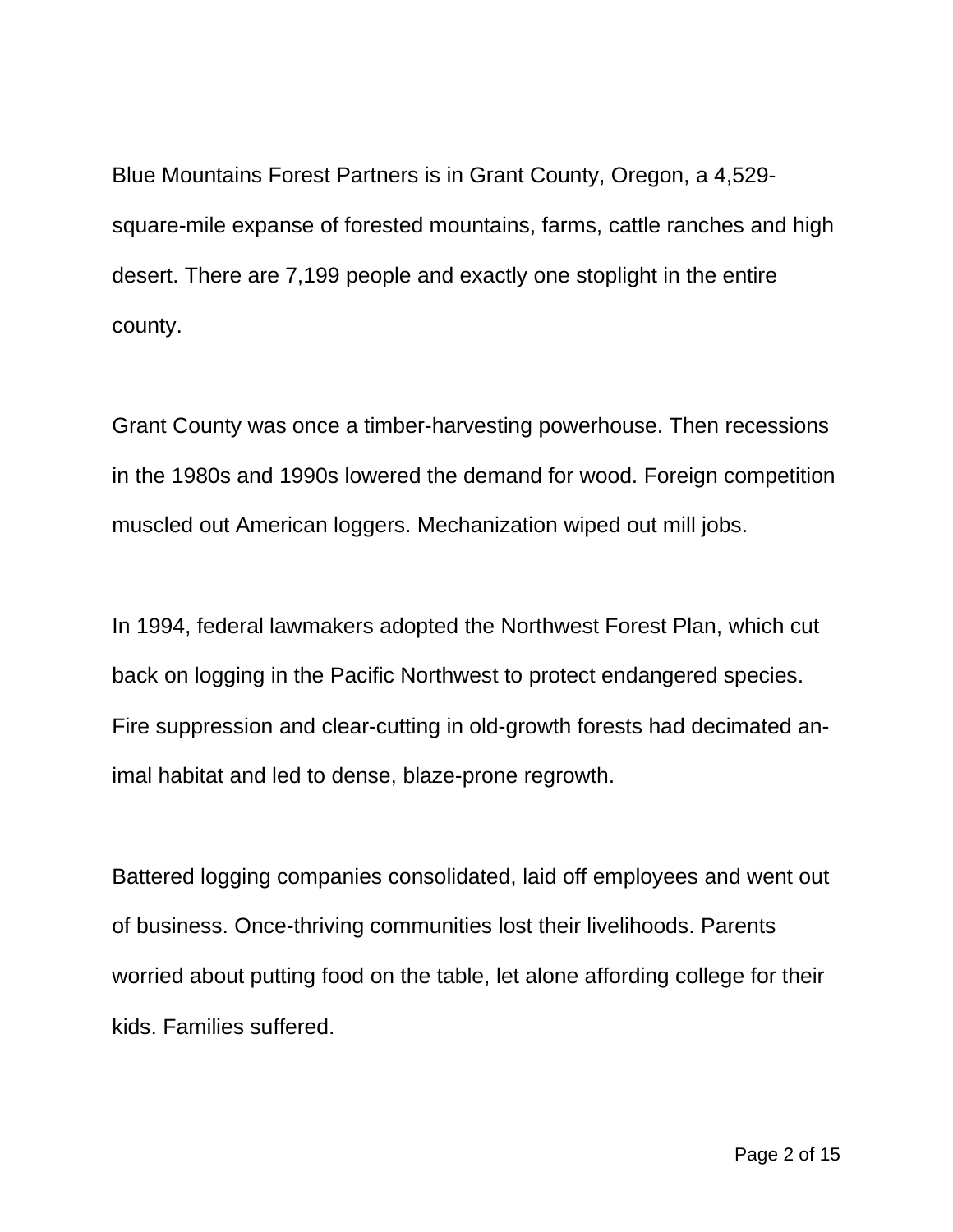Blue Mountains Forest Partners is in Grant County, Oregon, a 4,529 square-mile expanse of forested mountains, farms, cattle ranches and high desert. There are 7,199 people and exactly one stoplight in the entire county.

Grant County was once a timber-harvesting powerhouse. Then recessions in the 1980s and 1990s lowered the demand for wood. Foreign competition muscled out American loggers. Mechanization wiped out mill jobs.

In 1994, federal lawmakers adopted the Northwest Forest Plan, which cut back on logging in the Pacific Northwest to protect endangered species. Fire suppression and clear-cutting in old-growth forests had decimated animal habitat and led to dense, blaze-prone regrowth.

Battered logging companies consolidated, laid off employees and went out of business. Once-thriving communities lost their livelihoods. Parents worried about putting food on the table, let alone affording college for their kids. Families suffered.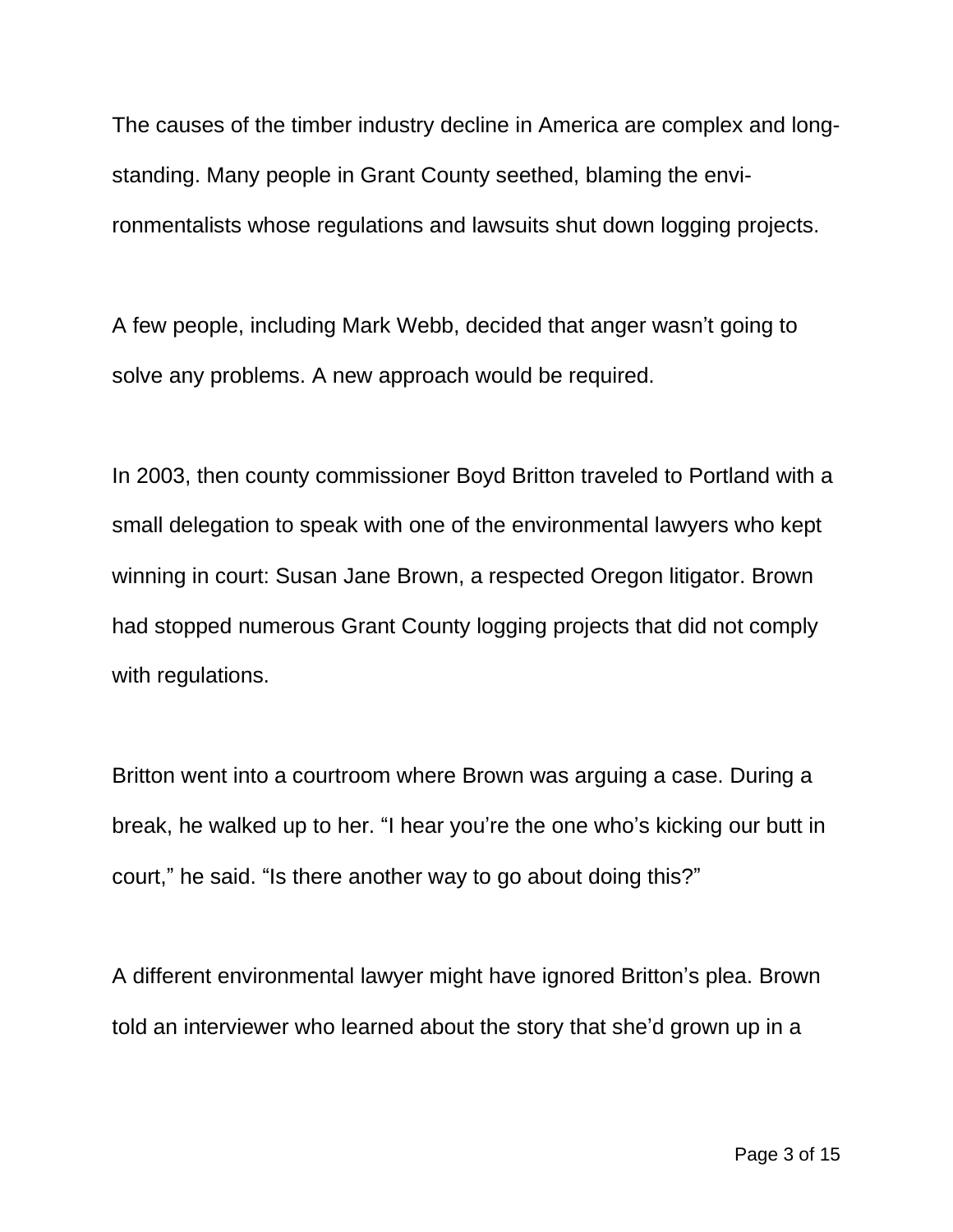The causes of the timber industry decline in America are complex and longstanding. Many people in Grant County seethed, blaming the environmentalists whose regulations and lawsuits shut down logging projects.

A few people, including Mark Webb, decided that anger wasn't going to solve any problems. A new approach would be required.

In 2003, then county commissioner Boyd Britton traveled to Portland with a small delegation to speak with one of the environmental lawyers who kept winning in court: Susan Jane Brown, a respected Oregon litigator. Brown had stopped numerous Grant County logging projects that did not comply with regulations.

Britton went into a courtroom where Brown was arguing a case. During a break, he walked up to her. "I hear you're the one who's kicking our butt in court," he said. "Is there another way to go about doing this?"

A different environmental lawyer might have ignored Britton's plea. Brown told an interviewer who learned about the story that she'd grown up in a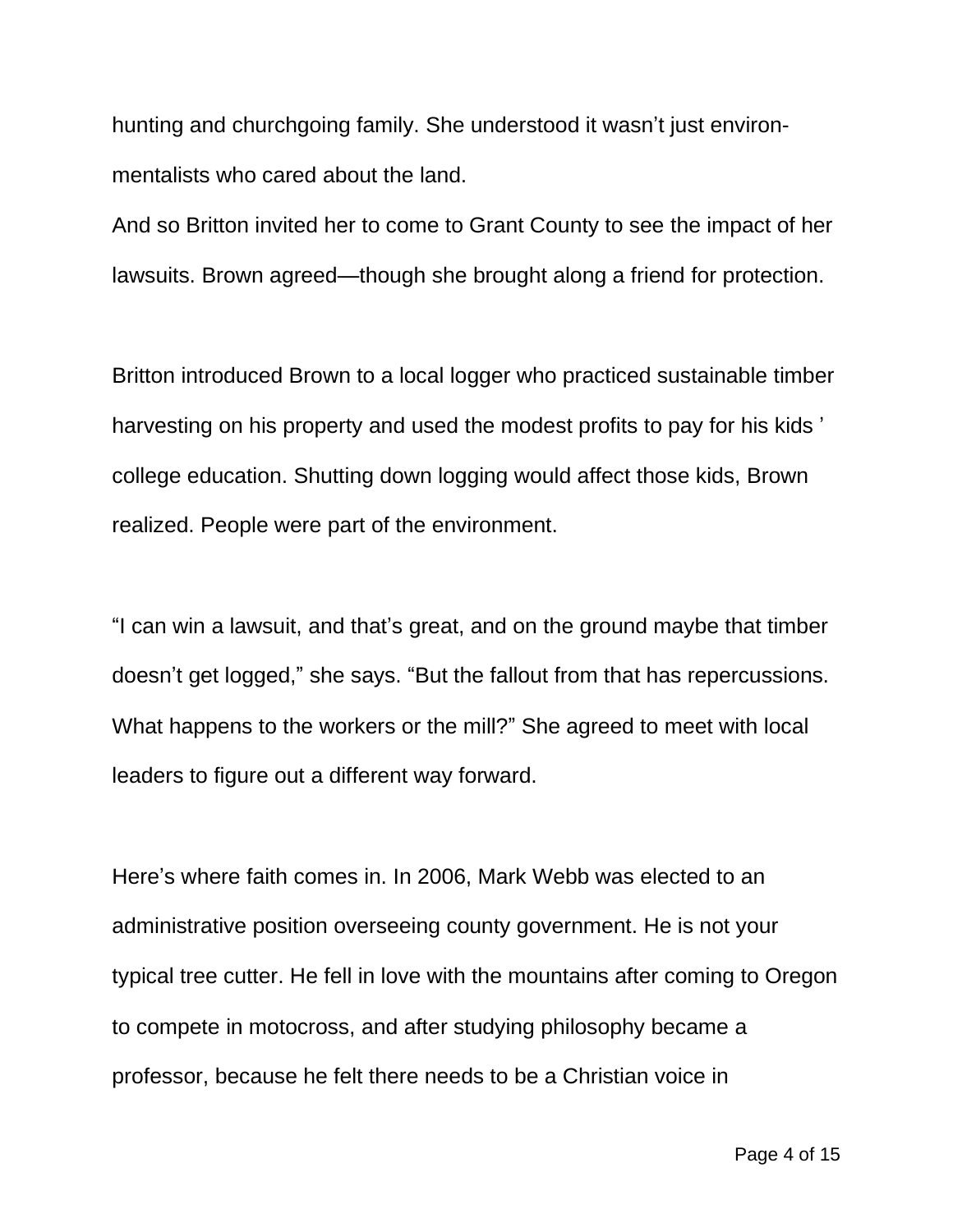hunting and churchgoing family. She understood it wasn't just environmentalists who cared about the land.

And so Britton invited her to come to Grant County to see the impact of her lawsuits. Brown agreed—though she brought along a friend for protection.

Britton introduced Brown to a local logger who practiced sustainable timber harvesting on his property and used the modest profits to pay for his kids ' college education. Shutting down logging would affect those kids, Brown realized. People were part of the environment.

"I can win a lawsuit, and that's great, and on the ground maybe that timber doesn't get logged," she says. "But the fallout from that has repercussions. What happens to the workers or the mill?" She agreed to meet with local leaders to figure out a different way forward.

Here's where faith comes in. In 2006, Mark Webb was elected to an administrative position overseeing county government. He is not your typical tree cutter. He fell in love with the mountains after coming to Oregon to compete in motocross, and after studying philosophy became a professor, because he felt there needs to be a Christian voice in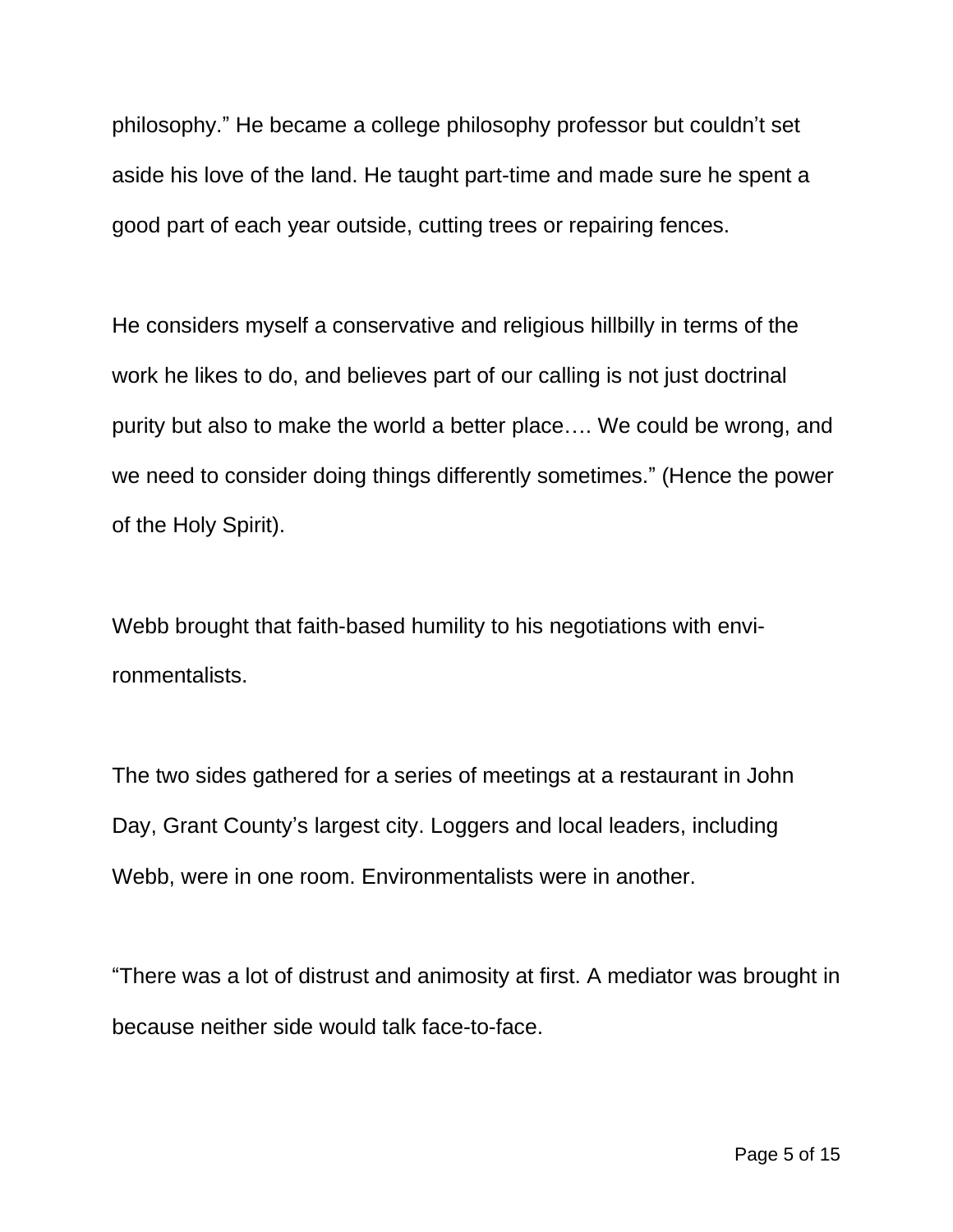philosophy." He became a college philosophy professor but couldn't set aside his love of the land. He taught part-time and made sure he spent a good part of each year outside, cutting trees or repairing fences.

He considers myself a conservative and religious hillbilly in terms of the work he likes to do, and believes part of our calling is not just doctrinal purity but also to make the world a better place…. We could be wrong, and we need to consider doing things differently sometimes." (Hence the power of the Holy Spirit).

Webb brought that faith-based humility to his negotiations with environmentalists.

The two sides gathered for a series of meetings at a restaurant in John Day, Grant County's largest city. Loggers and local leaders, including Webb, were in one room. Environmentalists were in another.

"There was a lot of distrust and animosity at first. A mediator was brought in because neither side would talk face-to-face.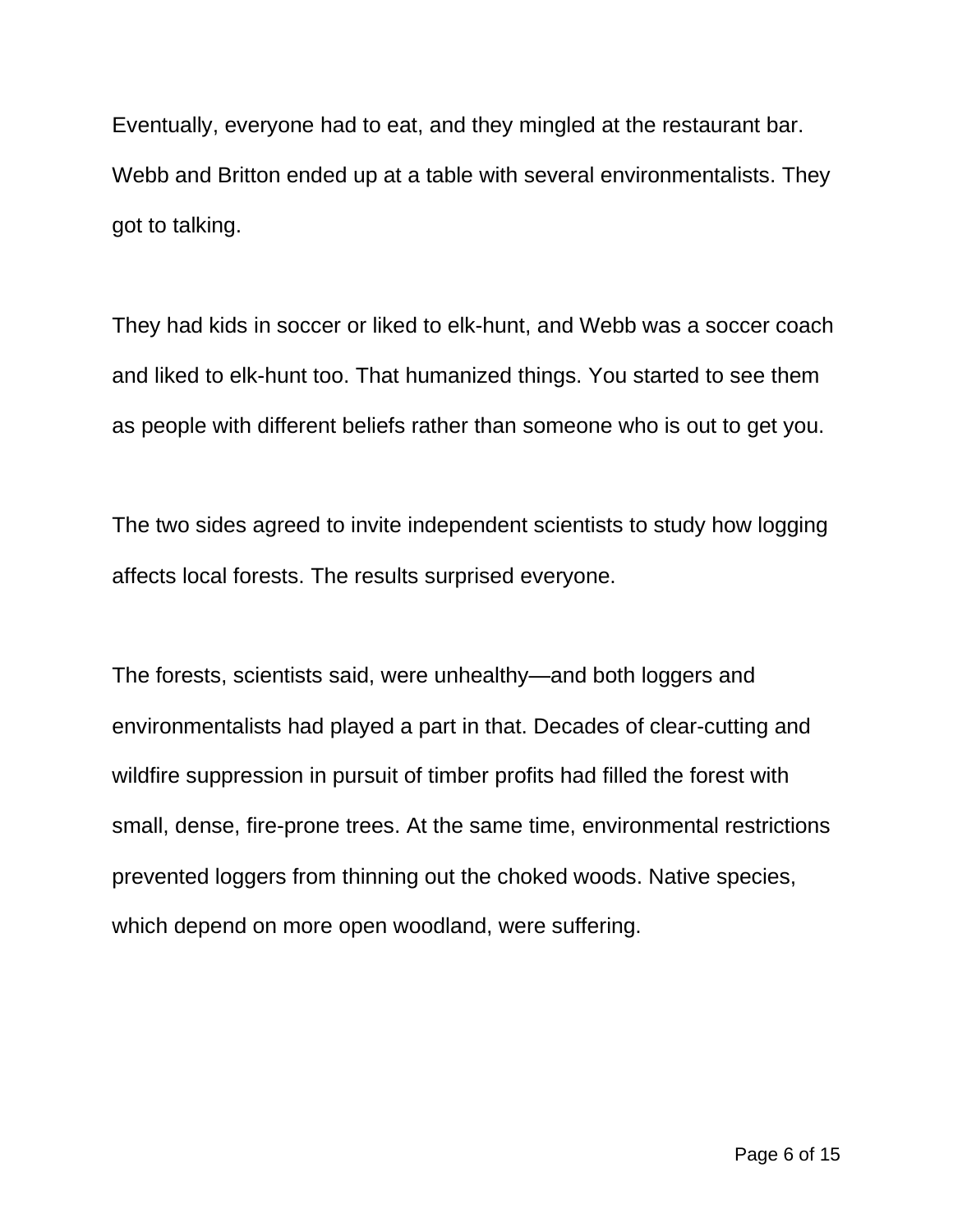Eventually, everyone had to eat, and they mingled at the restaurant bar. Webb and Britton ended up at a table with several environmentalists. They got to talking.

They had kids in soccer or liked to elk-hunt, and Webb was a soccer coach and liked to elk-hunt too. That humanized things. You started to see them as people with different beliefs rather than someone who is out to get you.

The two sides agreed to invite independent scientists to study how logging affects local forests. The results surprised everyone.

The forests, scientists said, were unhealthy—and both loggers and environmentalists had played a part in that. Decades of clear-cutting and wildfire suppression in pursuit of timber profits had filled the forest with small, dense, fire-prone trees. At the same time, environmental restrictions prevented loggers from thinning out the choked woods. Native species, which depend on more open woodland, were suffering.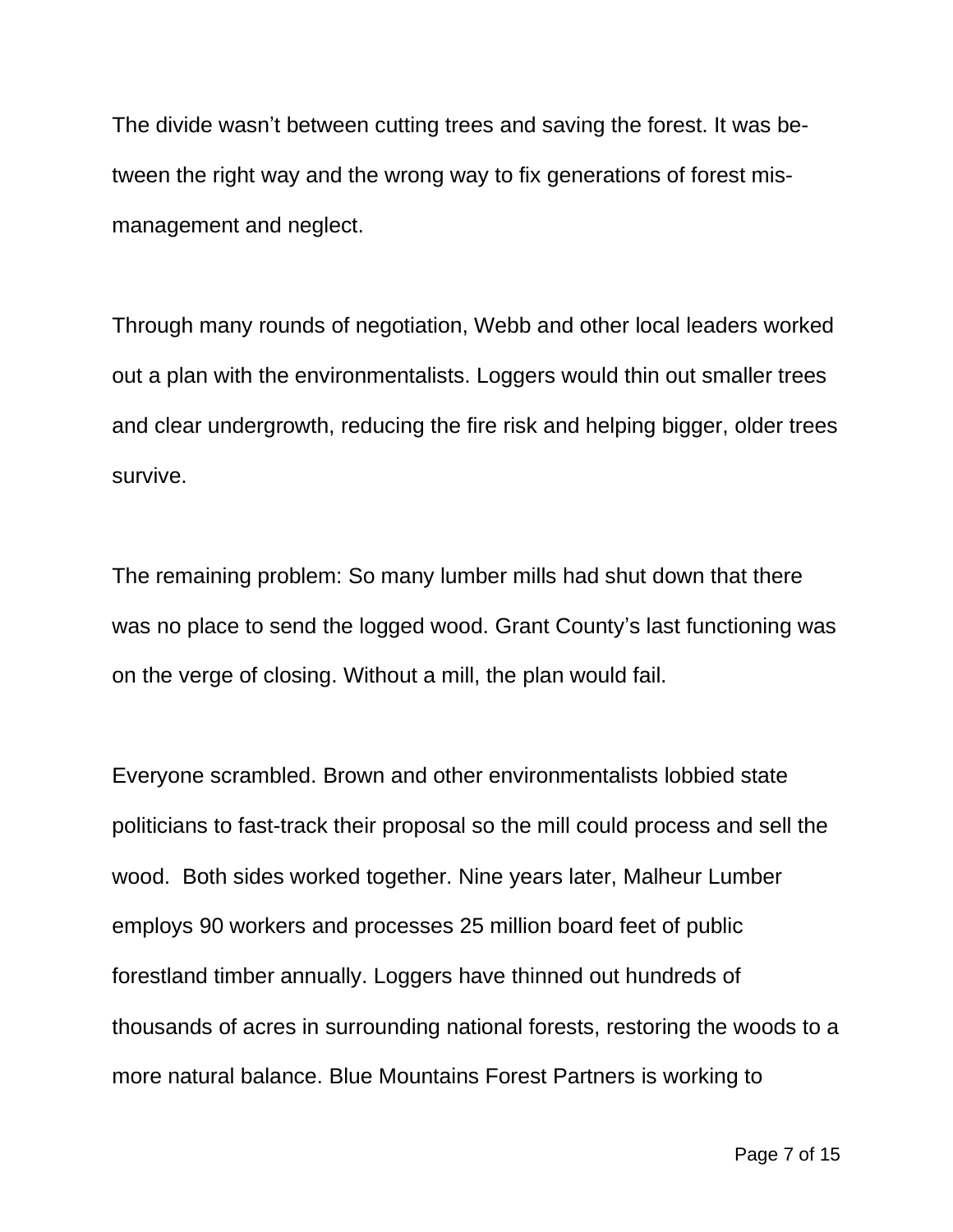The divide wasn't between cutting trees and saving the forest. It was between the right way and the wrong way to fix generations of forest mismanagement and neglect.

Through many rounds of negotiation, Webb and other local leaders worked out a plan with the environmentalists. Loggers would thin out smaller trees and clear undergrowth, reducing the fire risk and helping bigger, older trees survive.

The remaining problem: So many lumber mills had shut down that there was no place to send the logged wood. Grant County's last functioning was on the verge of closing. Without a mill, the plan would fail.

Everyone scrambled. Brown and other environmentalists lobbied state politicians to fast-track their proposal so the mill could process and sell the wood. Both sides worked together. Nine years later, Malheur Lumber employs 90 workers and processes 25 million board feet of public forestland timber annually. Loggers have thinned out hundreds of thousands of acres in surrounding national forests, restoring the woods to a more natural balance. Blue Mountains Forest Partners is working to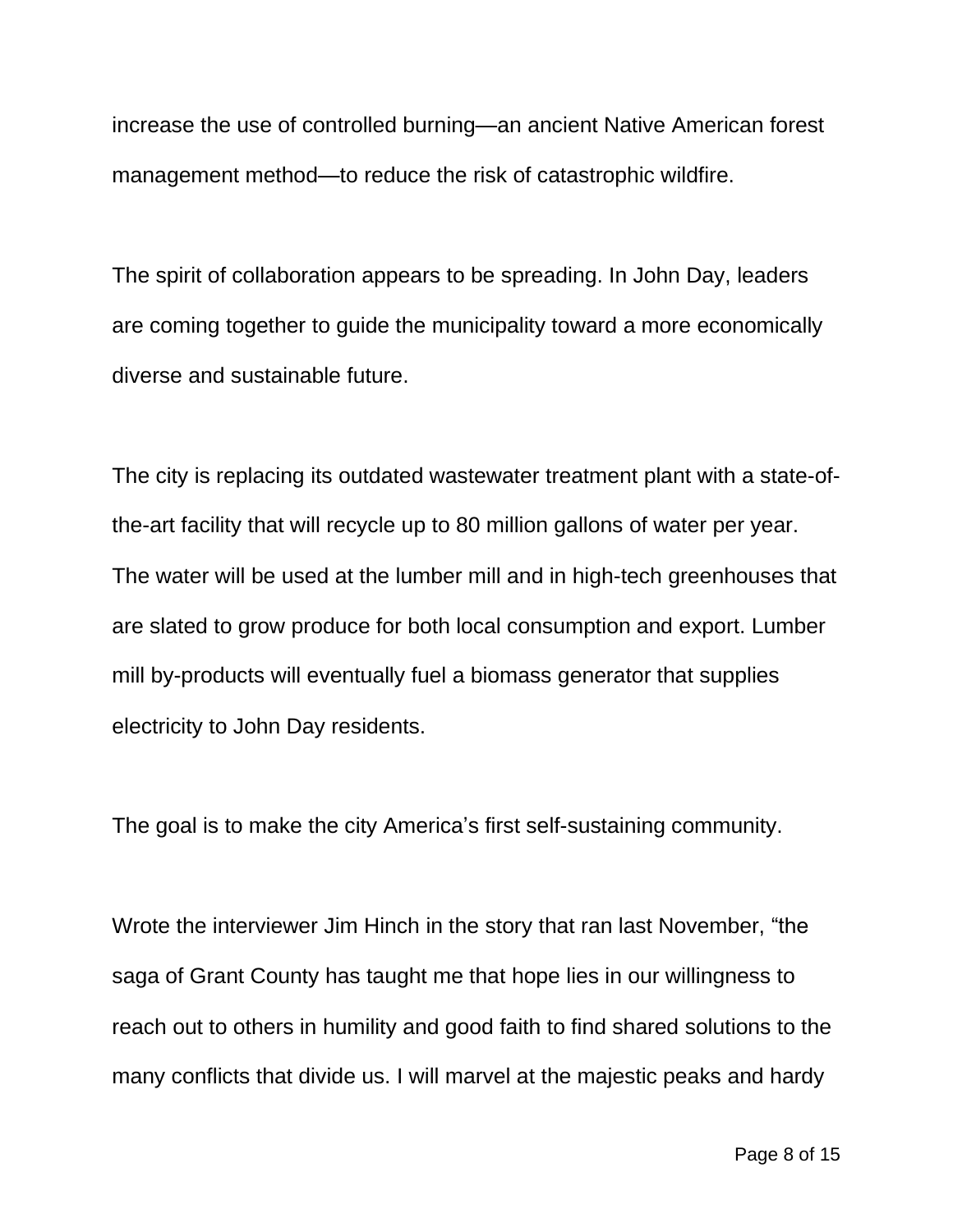increase the use of controlled burning—an ancient Native American forest management method—to reduce the risk of catastrophic wildfire.

The spirit of collaboration appears to be spreading. In John Day, leaders are coming together to guide the municipality toward a more economically diverse and sustainable future.

The city is replacing its outdated wastewater treatment plant with a state-ofthe-art facility that will recycle up to 80 million gallons of water per year. The water will be used at the lumber mill and in high-tech greenhouses that are slated to grow produce for both local consumption and export. Lumber mill by-products will eventually fuel a biomass generator that supplies electricity to John Day residents.

The goal is to make the city America's first self-sustaining community.

Wrote the interviewer Jim Hinch in the story that ran last November, "the saga of Grant County has taught me that hope lies in our willingness to reach out to others in humility and good faith to find shared solutions to the many conflicts that divide us. I will marvel at the majestic peaks and hardy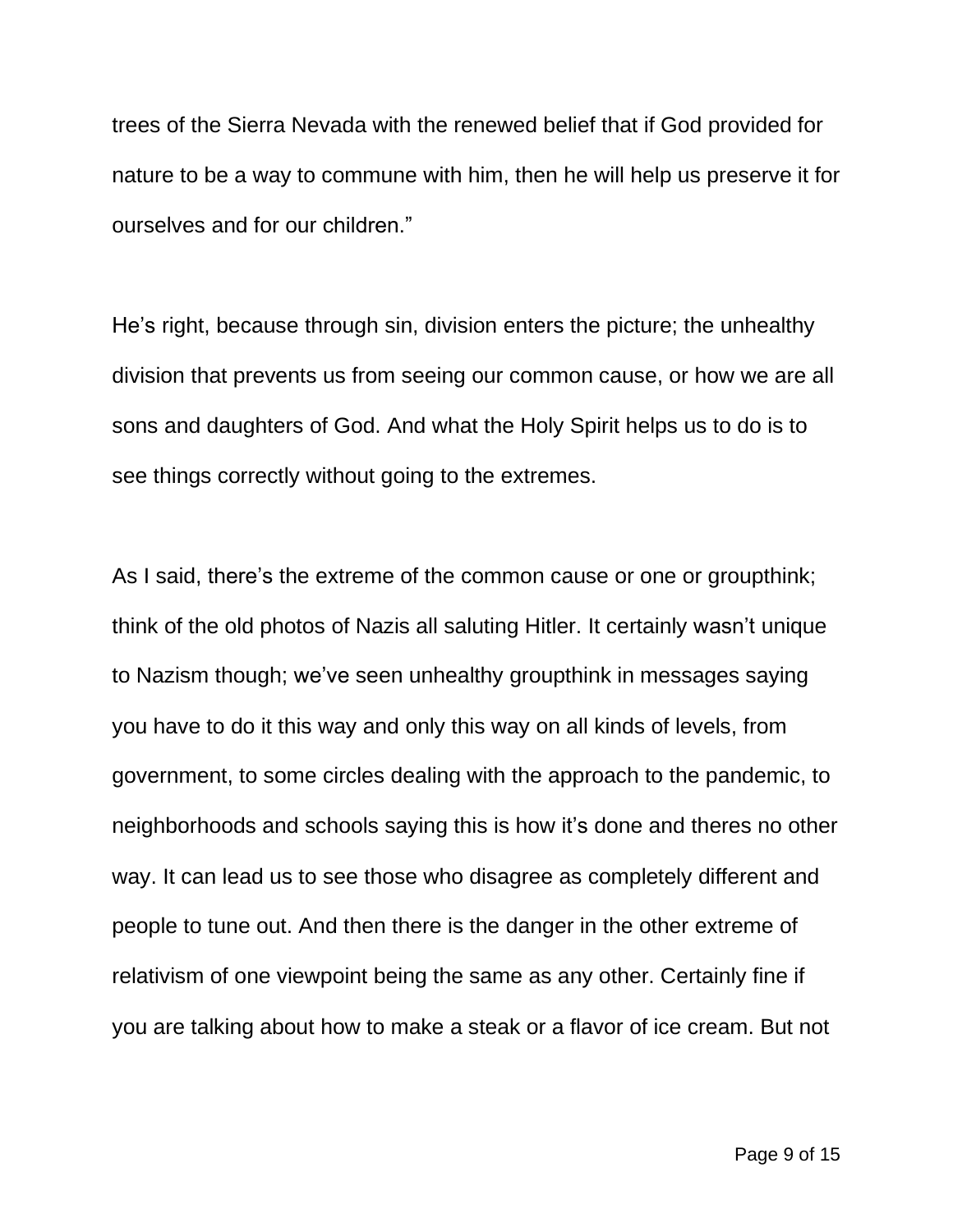trees of the Sierra Nevada with the renewed belief that if God provided for nature to be a way to commune with him, then he will help us preserve it for ourselves and for our children."

He's right, because through sin, division enters the picture; the unhealthy division that prevents us from seeing our common cause, or how we are all sons and daughters of God. And what the Holy Spirit helps us to do is to see things correctly without going to the extremes.

As I said, there's the extreme of the common cause or one or groupthink; think of the old photos of Nazis all saluting Hitler. It certainly wasn't unique to Nazism though; we've seen unhealthy groupthink in messages saying you have to do it this way and only this way on all kinds of levels, from government, to some circles dealing with the approach to the pandemic, to neighborhoods and schools saying this is how it's done and theres no other way. It can lead us to see those who disagree as completely different and people to tune out. And then there is the danger in the other extreme of relativism of one viewpoint being the same as any other. Certainly fine if you are talking about how to make a steak or a flavor of ice cream. But not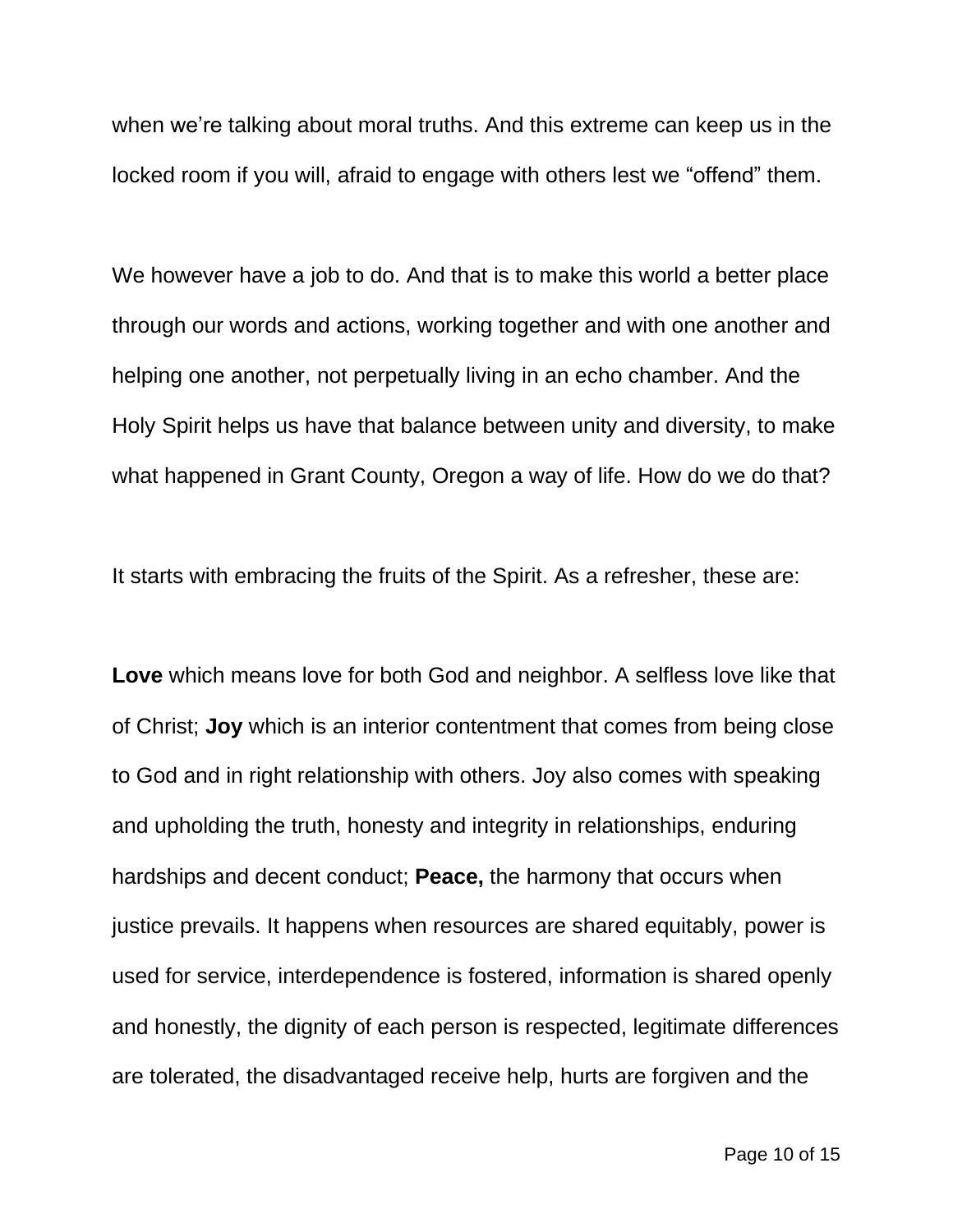when we're talking about moral truths. And this extreme can keep us in the locked room if you will, afraid to engage with others lest we "offend" them.

We however have a job to do. And that is to make this world a better place through our words and actions, working together and with one another and helping one another, not perpetually living in an echo chamber. And the Holy Spirit helps us have that balance between unity and diversity, to make what happened in Grant County, Oregon a way of life. How do we do that?

It starts with embracing the fruits of the Spirit. As a refresher, these are:

**Love** which means love for both God and neighbor. A selfless love like that of Christ; **Joy** which is an interior contentment that comes from being close to God and in right relationship with others. Joy also comes with speaking and upholding the truth, honesty and integrity in relationships, enduring hardships and decent conduct; **Peace,** the harmony that occurs when justice prevails. It happens when resources are shared equitably, power is used for service, interdependence is fostered, information is shared openly and honestly, the dignity of each person is respected, legitimate differences are tolerated, the disadvantaged receive help, hurts are forgiven and the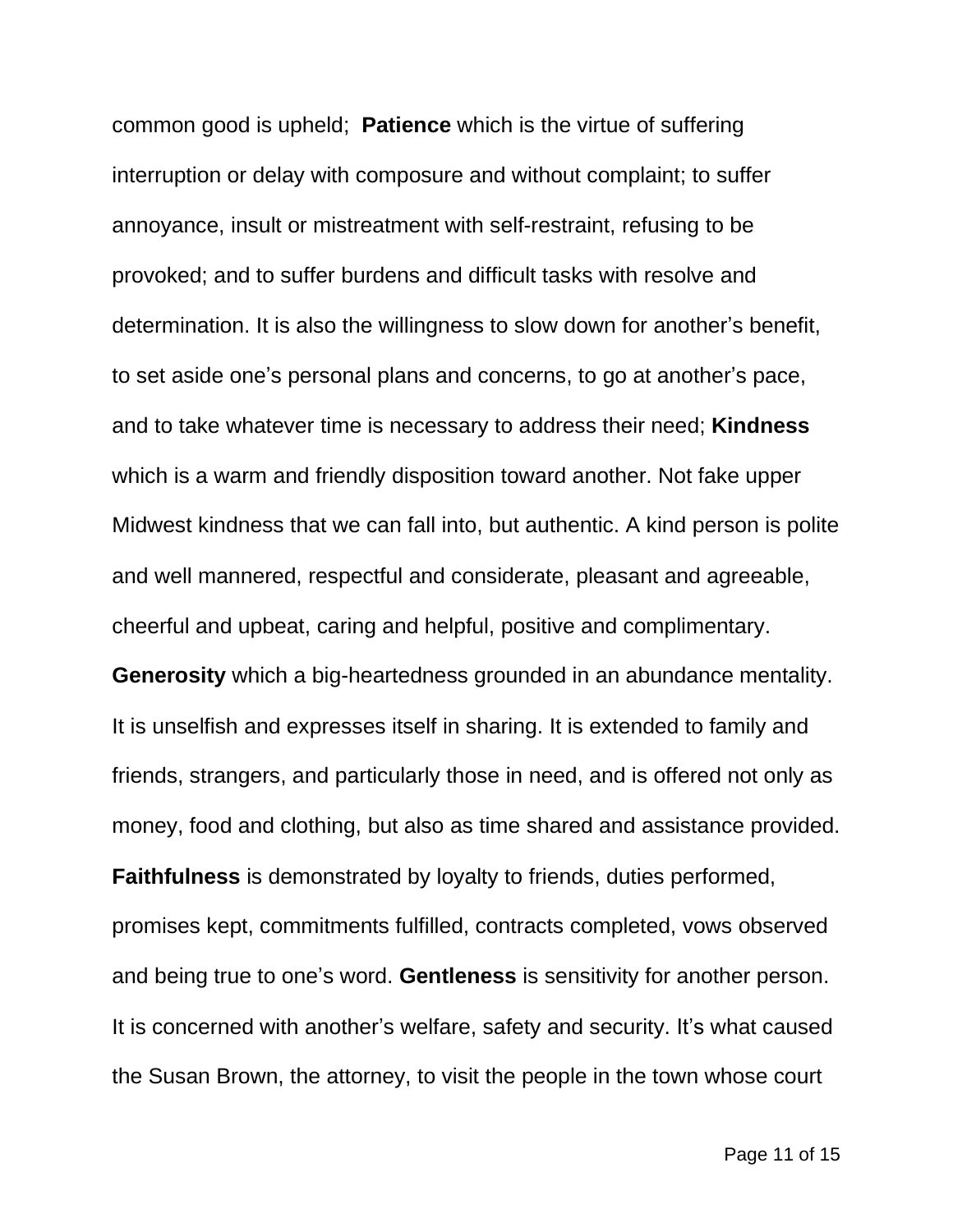common good is upheld; **Patience** which is the virtue of suffering interruption or delay with composure and without complaint; to suffer annoyance, insult or mistreatment with self-restraint, refusing to be provoked; and to suffer burdens and difficult tasks with resolve and determination. It is also the willingness to slow down for another's benefit, to set aside one's personal plans and concerns, to go at another's pace, and to take whatever time is necessary to address their need; **Kindness** which is a warm and friendly disposition toward another. Not fake upper Midwest kindness that we can fall into, but authentic. A kind person is polite and well mannered, respectful and considerate, pleasant and agreeable, cheerful and upbeat, caring and helpful, positive and complimentary.

**Generosity** which a big-heartedness grounded in an abundance mentality. It is unselfish and expresses itself in sharing. It is extended to family and friends, strangers, and particularly those in need, and is offered not only as money, food and clothing, but also as time shared and assistance provided.

**Faithfulness** is demonstrated by loyalty to friends, duties performed, promises kept, commitments fulfilled, contracts completed, vows observed and being true to one's word. **Gentleness** is sensitivity for another person. It is concerned with another's welfare, safety and security. It's what caused the Susan Brown, the attorney, to visit the people in the town whose court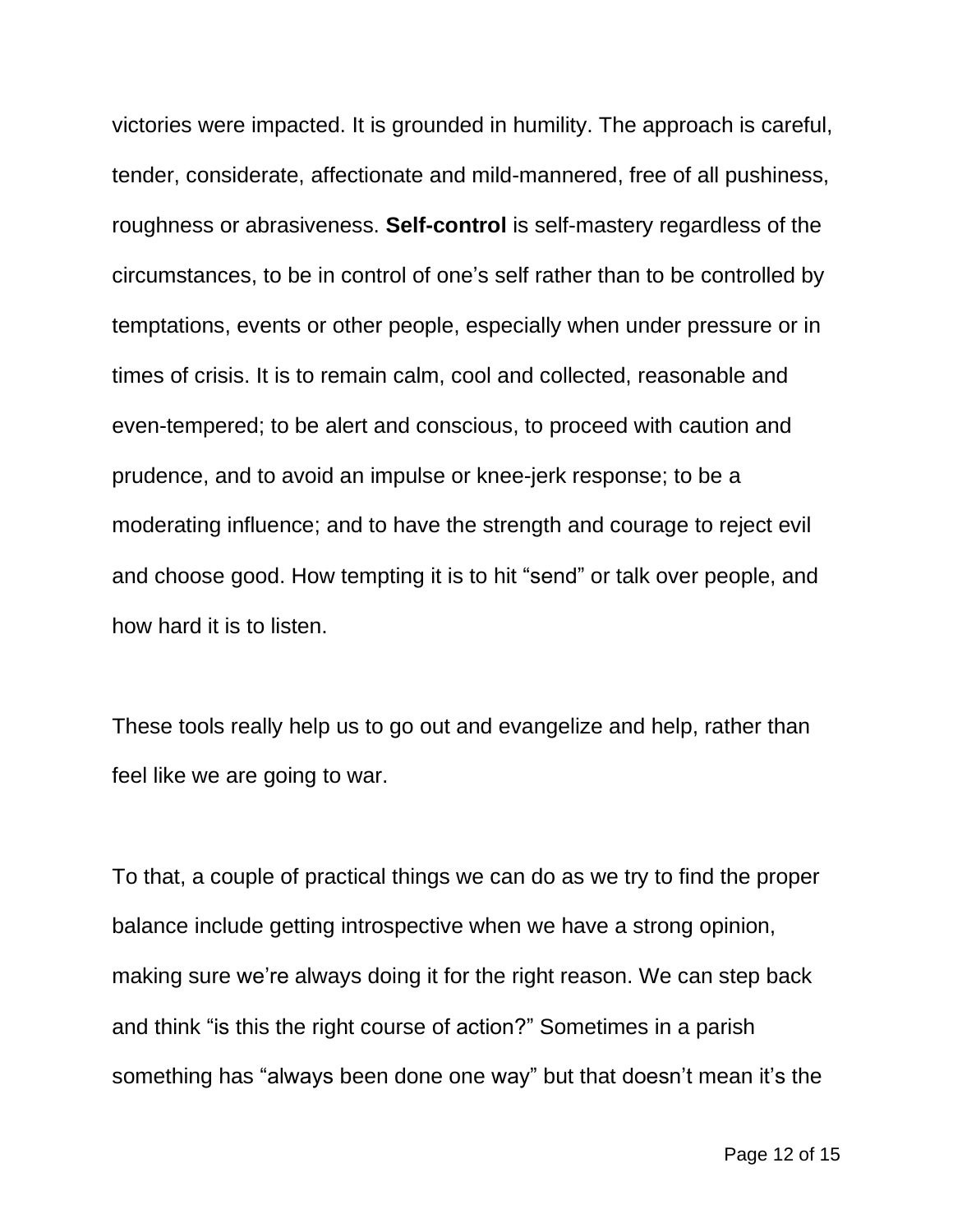victories were impacted. It is grounded in humility. The approach is careful, tender, considerate, affectionate and mild-mannered, free of all pushiness, roughness or abrasiveness. **Self-control** is self-mastery regardless of the circumstances, to be in control of one's self rather than to be controlled by temptations, events or other people, especially when under pressure or in times of crisis. It is to remain calm, cool and collected, reasonable and even-tempered; to be alert and conscious, to proceed with caution and prudence, and to avoid an impulse or knee-jerk response; to be a moderating influence; and to have the strength and courage to reject evil and choose good. How tempting it is to hit "send" or talk over people, and how hard it is to listen.

These tools really help us to go out and evangelize and help, rather than feel like we are going to war.

To that, a couple of practical things we can do as we try to find the proper balance include getting introspective when we have a strong opinion, making sure we're always doing it for the right reason. We can step back and think "is this the right course of action?" Sometimes in a parish something has "always been done one way" but that doesn't mean it's the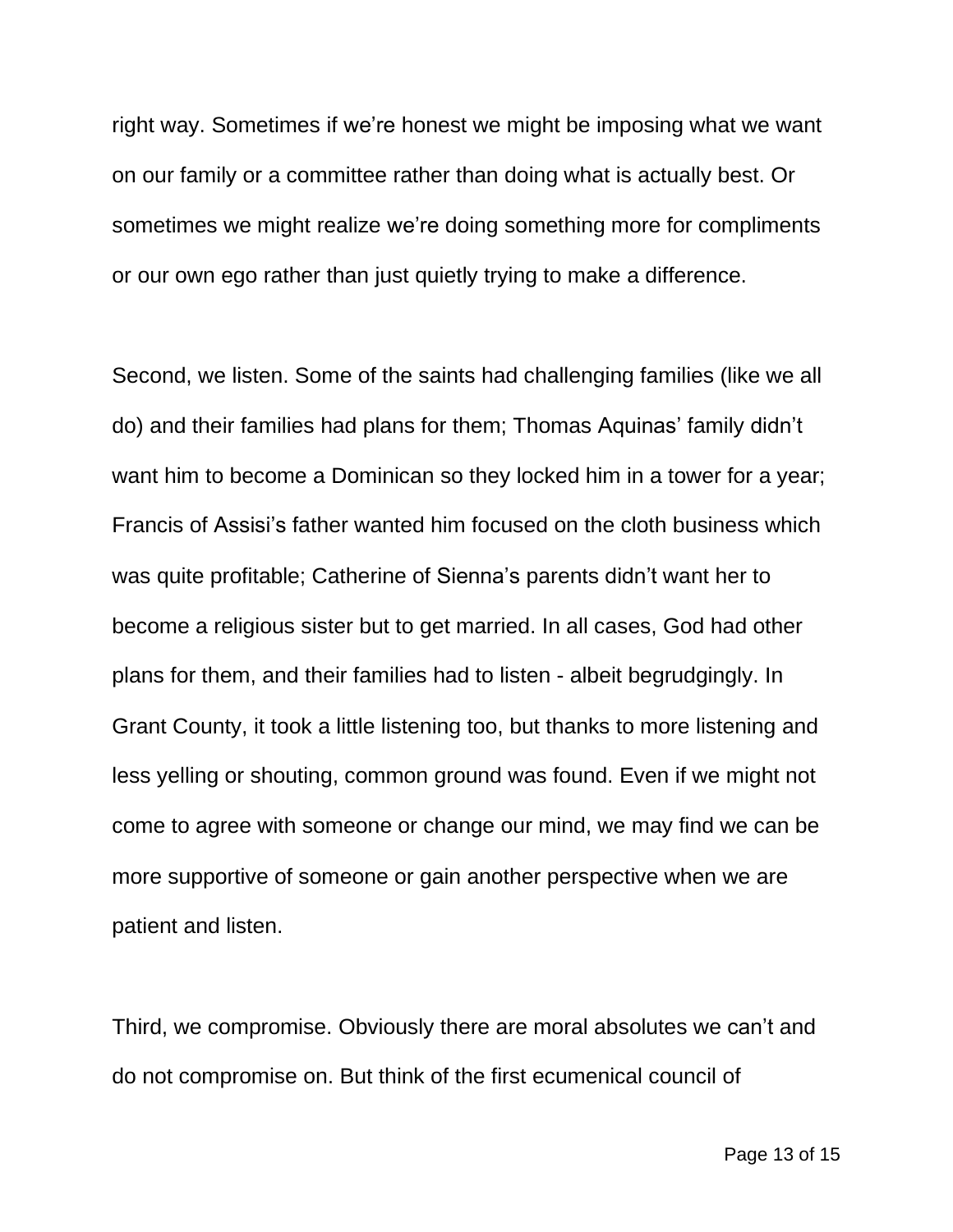right way. Sometimes if we're honest we might be imposing what we want on our family or a committee rather than doing what is actually best. Or sometimes we might realize we're doing something more for compliments or our own ego rather than just quietly trying to make a difference.

Second, we listen. Some of the saints had challenging families (like we all do) and their families had plans for them; Thomas Aquinas' family didn't want him to become a Dominican so they locked him in a tower for a year; Francis of Assisi's father wanted him focused on the cloth business which was quite profitable; Catherine of Sienna's parents didn't want her to become a religious sister but to get married. In all cases, God had other plans for them, and their families had to listen - albeit begrudgingly. In Grant County, it took a little listening too, but thanks to more listening and less yelling or shouting, common ground was found. Even if we might not come to agree with someone or change our mind, we may find we can be more supportive of someone or gain another perspective when we are patient and listen.

Third, we compromise. Obviously there are moral absolutes we can't and do not compromise on. But think of the first ecumenical council of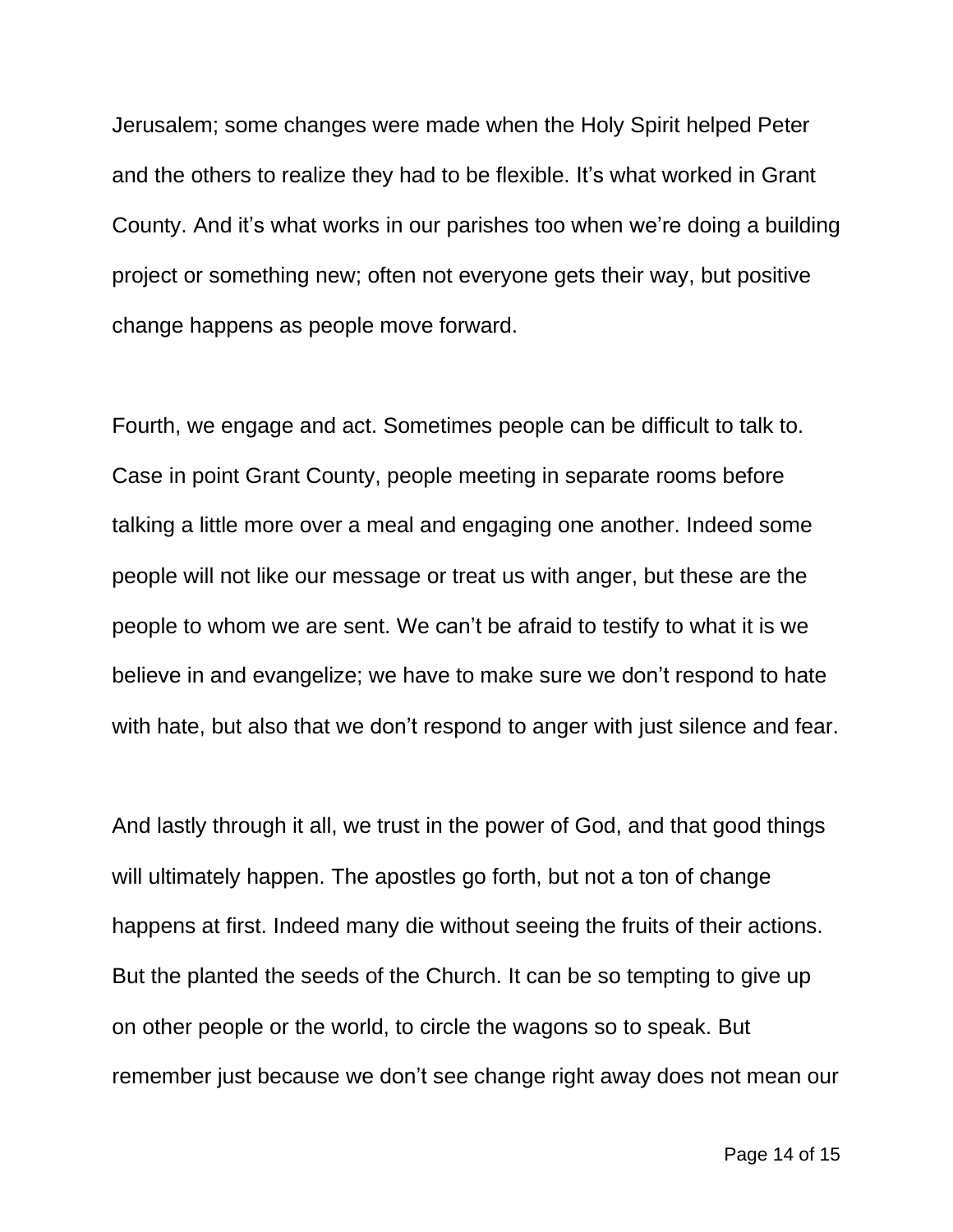Jerusalem; some changes were made when the Holy Spirit helped Peter and the others to realize they had to be flexible. It's what worked in Grant County. And it's what works in our parishes too when we're doing a building project or something new; often not everyone gets their way, but positive change happens as people move forward.

Fourth, we engage and act. Sometimes people can be difficult to talk to. Case in point Grant County, people meeting in separate rooms before talking a little more over a meal and engaging one another. Indeed some people will not like our message or treat us with anger, but these are the people to whom we are sent. We can't be afraid to testify to what it is we believe in and evangelize; we have to make sure we don't respond to hate with hate, but also that we don't respond to anger with just silence and fear.

And lastly through it all, we trust in the power of God, and that good things will ultimately happen. The apostles go forth, but not a ton of change happens at first. Indeed many die without seeing the fruits of their actions. But the planted the seeds of the Church. It can be so tempting to give up on other people or the world, to circle the wagons so to speak. But remember just because we don't see change right away does not mean our